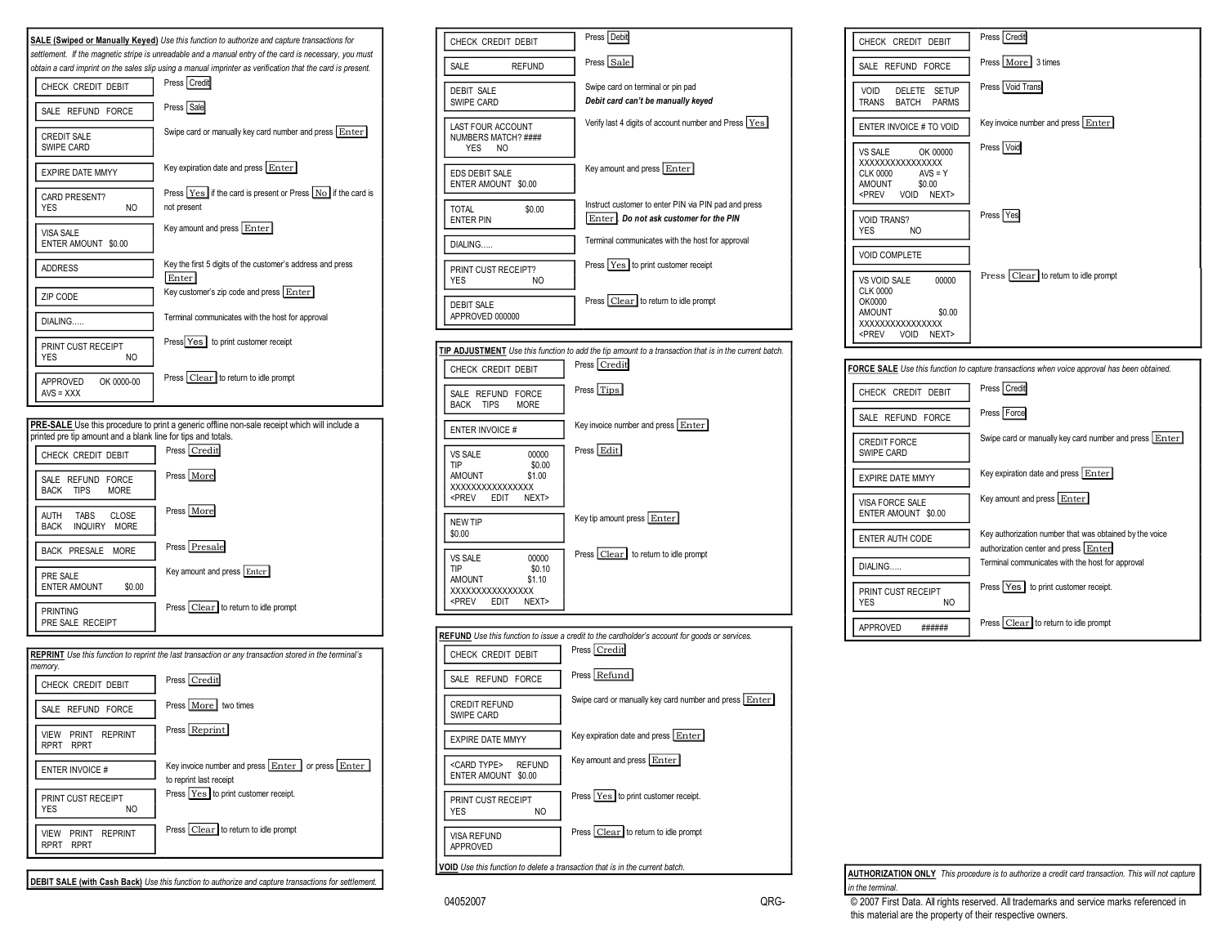





**DEBIT SALE (with Cash Back)** *Use this function to authorize and capture transactions for settlement.*

| CHECK CREDIT DEBIT                                                               | Press Debit                                                                                                           |
|----------------------------------------------------------------------------------|-----------------------------------------------------------------------------------------------------------------------|
| SALE<br><b>REFUND</b>                                                            | Press Sale                                                                                                            |
| <b>DEBIT SALE</b><br>SWIPE CARD                                                  | Swipe card on terminal or pin pad<br>Debit card can't be manually keyed                                               |
| LAST FOUR ACCOUNT<br>NUMBERS MATCH? ####<br><b>YES</b><br>NO.                    | Verify last 4 digits of account number and Press Yes                                                                  |
| <b>EDS DEBIT SALE</b><br>ENTER AMOUNT \$0.00                                     | Key amount and press Enter                                                                                            |
| TOTAL<br>\$0.00<br><b>ENTER PIN</b>                                              | Instruct customer to enter PIN via PIN pad and press<br>Enter . Do not ask customer for the PIN                       |
| DIALING                                                                          | Terminal communicates with the host for approval                                                                      |
| PRINT CUST RECEIPT?<br>YES<br>NO.                                                | Press Yes to print customer receipt                                                                                   |
| <b>DEBIT SALE</b><br>APPROVED 000000                                             | Press Clear to return to idle prompt                                                                                  |
|                                                                                  |                                                                                                                       |
| CHECK CREDIT DEBIT                                                               | TIP ADJUSTMENT Use this function to add the tip amount to a transaction that is in the current batch.<br>Press Credit |
| SALE REFUND FORCE<br><b>BACK</b><br><b>TIPS</b><br><b>MORE</b>                   | Press Tips                                                                                                            |
| <b>ENTER INVOICE#</b>                                                            | Key invoice number and press Enter                                                                                    |
| VS SALE<br>00000<br>TIP<br>\$0.00<br><b>AMOUNT</b><br>\$1.00<br>XXXXXXXXXXXXXXXX | Press Edit                                                                                                            |



Key tip amount press Enter

Press Clear to return to idle prompt



| <b>FORCE SALE</b> Use this function to capture transactions when voice approval has been obtained. |                                                                                                 |  |
|----------------------------------------------------------------------------------------------------|-------------------------------------------------------------------------------------------------|--|
| CHECK CREDIT DEBIT                                                                                 | Press Credit                                                                                    |  |
| SALE REFUND FORCE                                                                                  | Press Force                                                                                     |  |
| <b>CREDIT FORCE</b><br>SWIPE CARD                                                                  | Swipe card or manually key card number and press Enter                                          |  |
| <b>EXPIRE DATE MMYY</b>                                                                            | Key expiration date and press Enter                                                             |  |
| VISA FORCE SALE<br>ENTER AMOUNT \$0.00                                                             | Key amount and press Enter                                                                      |  |
| ENTER AUTH CODE                                                                                    | Key authorization number that was obtained by the voice<br>authorization center and press Enter |  |
| DIALING                                                                                            | Terminal communicates with the host for approval                                                |  |
| PRINT CUST RECEIPT<br><b>YES</b><br>NO.                                                            | Press Yes to print customer receipt.                                                            |  |
| <b>APPROVED</b>                                                                                    | Press Clear to return to idle prompt                                                            |  |

**AUTHORIZATION ONLY** *This procedure is to authorize a credit card transaction. This will not capture in the terminal.*

<PREV EDIT NEXT>

VS SALE 00000<br>TIP \$0.10

XXXXXXXXXXXXXXXX

 $$0.10$ <br> $$1.10$ 

NEW TIP \$0.00

**AMOUNT** 

04052007 **CALL CONSERVED CONSERVED A CONSERVED CONSERVED CONSERVED A** CONSERVED A CONSERVED A CONSERVED A CONSERVED A CONSERVED A CONSERVED A CONSERVED A CONSERVED A CONSERVED A CONSERVED A CONSERVED A CONSERVED A CONSERVE this material are the property of their respective owners.